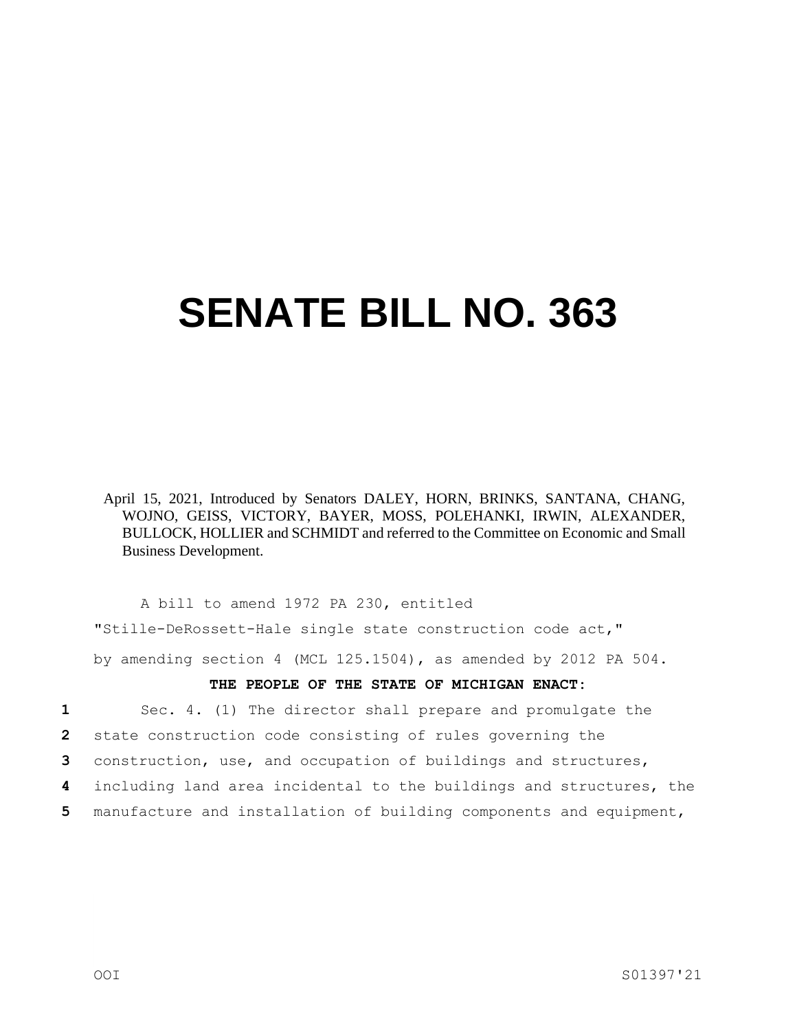## **SENATE BILL NO. 363**

April 15, 2021, Introduced by Senators DALEY, HORN, BRINKS, SANTANA, CHANG, WOJNO, GEISS, VICTORY, BAYER, MOSS, POLEHANKI, IRWIN, ALEXANDER, BULLOCK, HOLLIER and SCHMIDT and referred to the Committee on Economic and Small Business Development.

A bill to amend 1972 PA 230, entitled "Stille-DeRossett-Hale single state construction code act," by amending section 4 (MCL 125.1504), as amended by 2012 PA 504.

## **THE PEOPLE OF THE STATE OF MICHIGAN ENACT:**

**1** Sec. 4. (1) The director shall prepare and promulgate the

**2** state construction code consisting of rules governing the

**3** construction, use, and occupation of buildings and structures,

- **4** including land area incidental to the buildings and structures, the
- **5** manufacture and installation of building components and equipment,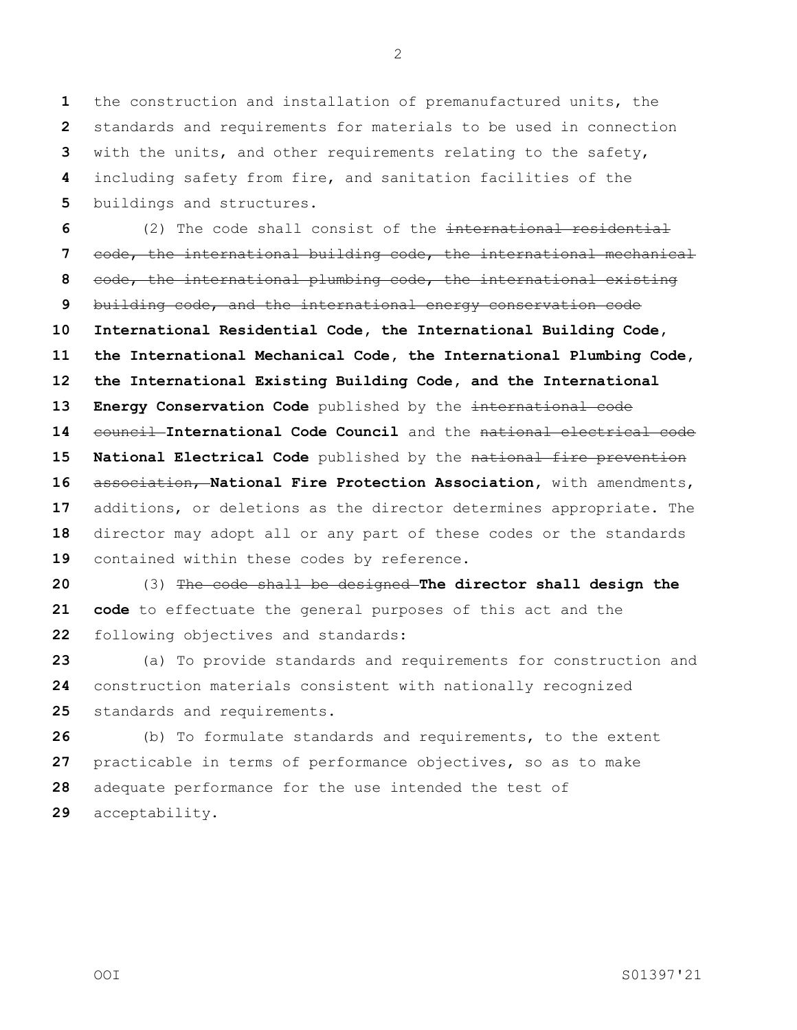the construction and installation of premanufactured units, the standards and requirements for materials to be used in connection with the units, and other requirements relating to the safety, including safety from fire, and sanitation facilities of the buildings and structures.

 (2) The code shall consist of the international residential code, the international building code, the international mechanical code, the international plumbing code, the international existing building code, and the international energy conservation code **International Residential Code, the International Building Code, the International Mechanical Code, the International Plumbing Code, the International Existing Building Code, and the International Energy Conservation Code** published by the international code 14 council International Code Council and the national electrical code **National Electrical Code** published by the national fire prevention association, **National Fire Protection Association,** with amendments, additions, or deletions as the director determines appropriate. The director may adopt all or any part of these codes or the standards contained within these codes by reference.

 (3) The code shall be designed **The director shall design the code** to effectuate the general purposes of this act and the following objectives and standards:

 (a) To provide standards and requirements for construction and construction materials consistent with nationally recognized standards and requirements.

 (b) To formulate standards and requirements, to the extent practicable in terms of performance objectives, so as to make adequate performance for the use intended the test of acceptability.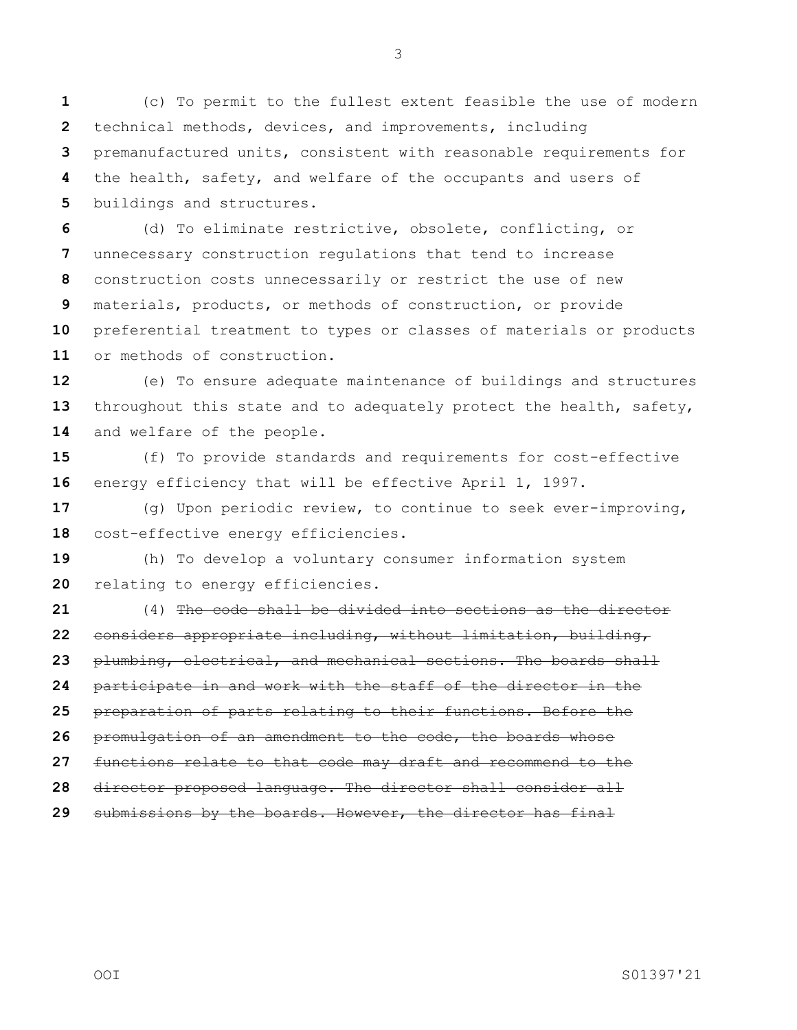(c) To permit to the fullest extent feasible the use of modern technical methods, devices, and improvements, including premanufactured units, consistent with reasonable requirements for the health, safety, and welfare of the occupants and users of buildings and structures.

 (d) To eliminate restrictive, obsolete, conflicting, or unnecessary construction regulations that tend to increase construction costs unnecessarily or restrict the use of new materials, products, or methods of construction, or provide preferential treatment to types or classes of materials or products or methods of construction.

 (e) To ensure adequate maintenance of buildings and structures throughout this state and to adequately protect the health, safety, and welfare of the people.

 (f) To provide standards and requirements for cost-effective energy efficiency that will be effective April 1, 1997.

 (g) Upon periodic review, to continue to seek ever-improving, cost-effective energy efficiencies.

 (h) To develop a voluntary consumer information system relating to energy efficiencies.

 (4) The code shall be divided into sections as the director considers appropriate including, without limitation, building, plumbing, electrical, and mechanical sections. The boards shall participate in and work with the staff of the director in the preparation of parts relating to their functions. Before the promulgation of an amendment to the code, the boards whose functions relate to that code may draft and recommend to the director proposed language. The director shall consider all submissions by the boards. However, the director has final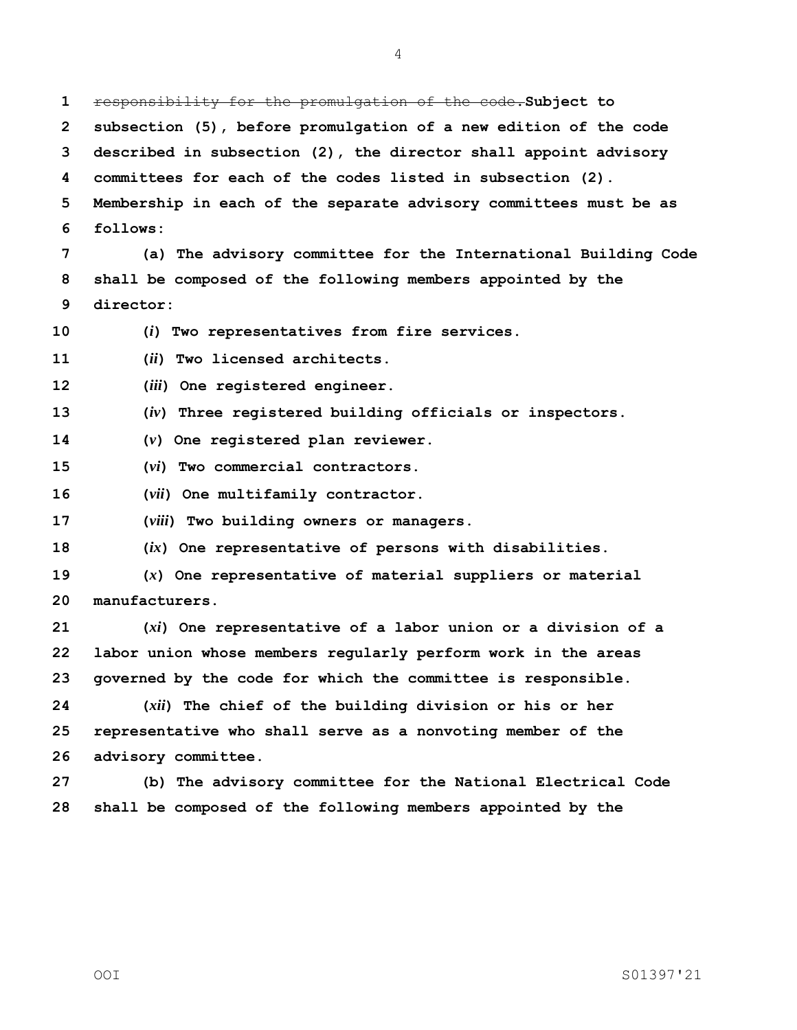responsibility for the promulgation of the code.**Subject to subsection (5), before promulgation of a new edition of the code described in subsection (2), the director shall appoint advisory committees for each of the codes listed in subsection (2). Membership in each of the separate advisory committees must be as follows: (a) The advisory committee for the International Building Code shall be composed of the following members appointed by the director: (***i***) Two representatives from fire services. (***ii***) Two licensed architects. (***iii***) One registered engineer. (***iv***) Three registered building officials or inspectors. (***v***) One registered plan reviewer. (***vi***) Two commercial contractors. (***vii***) One multifamily contractor. (***viii***) Two building owners or managers. (***ix***) One representative of persons with disabilities. (***x***) One representative of material suppliers or material manufacturers. (***xi***) One representative of a labor union or a division of a labor union whose members regularly perform work in the areas governed by the code for which the committee is responsible. (***xii***) The chief of the building division or his or her representative who shall serve as a nonvoting member of the advisory committee. (b) The advisory committee for the National Electrical Code shall be composed of the following members appointed by the**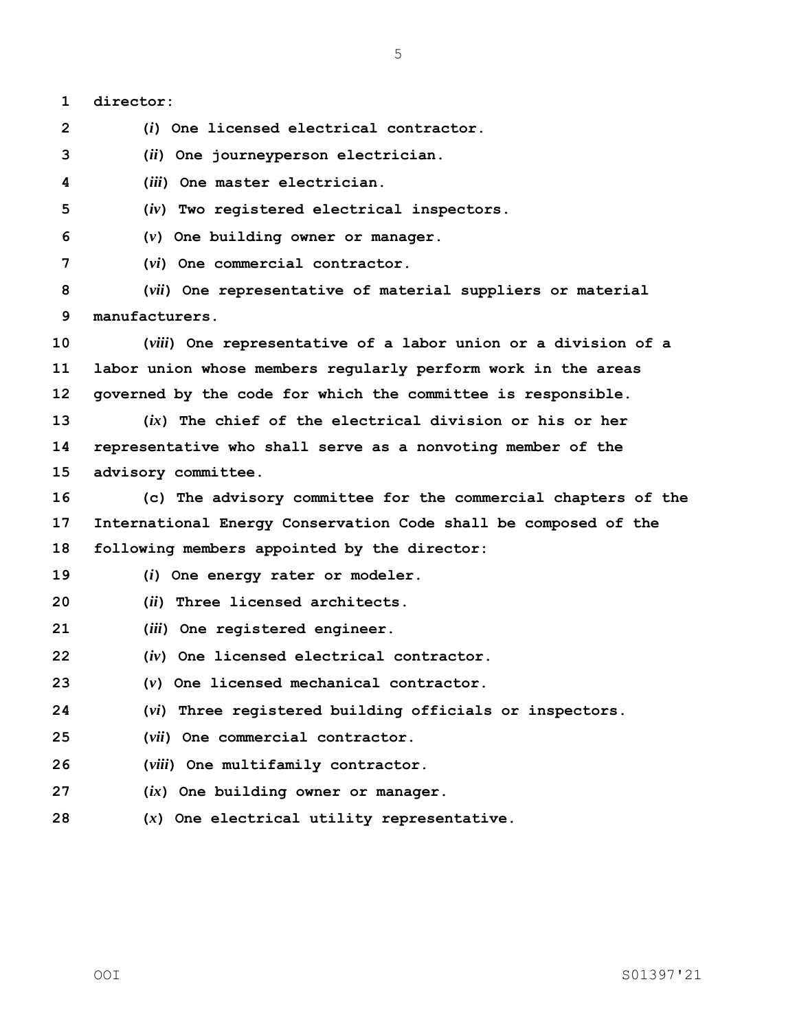**director: (***i***) One licensed electrical contractor. (***ii***) One journeyperson electrician. (***iii***) One master electrician. (***iv***) Two registered electrical inspectors. (***v***) One building owner or manager. (***vi***) One commercial contractor. (***vii***) One representative of material suppliers or material manufacturers. (***viii***) One representative of a labor union or a division of a labor union whose members regularly perform work in the areas governed by the code for which the committee is responsible. (***ix***) The chief of the electrical division or his or her representative who shall serve as a nonvoting member of the advisory committee. (c) The advisory committee for the commercial chapters of the International Energy Conservation Code shall be composed of the following members appointed by the director: (***i***) One energy rater or modeler. (***ii***) Three licensed architects. (***iii***) One registered engineer. (***iv***) One licensed electrical contractor. (***v***) One licensed mechanical contractor. (***vi***) Three registered building officials or inspectors. (***vii***) One commercial contractor. (***viii***) One multifamily contractor. (***ix***) One building owner or manager. (***x***) One electrical utility representative.**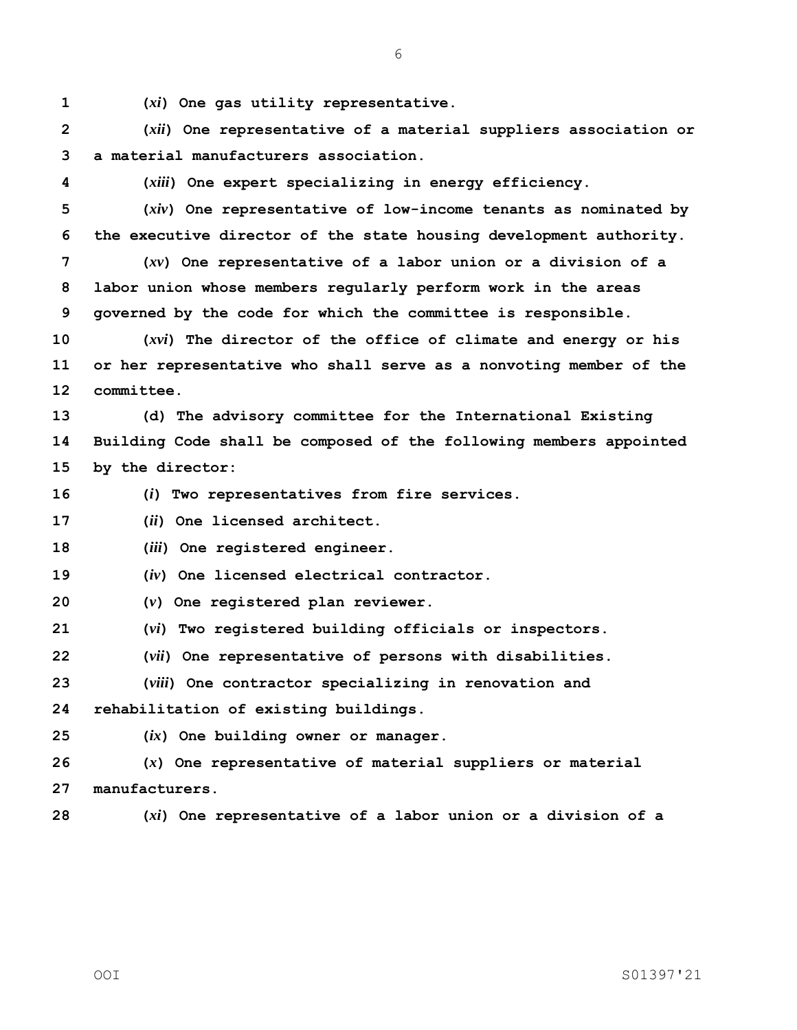**(***xi***) One gas utility representative.**

 **(***xii***) One representative of a material suppliers association or a material manufacturers association.**

**(***xiii***) One expert specializing in energy efficiency.**

 **(***xiv***) One representative of low-income tenants as nominated by the executive director of the state housing development authority.**

 **(***xv***) One representative of a labor union or a division of a labor union whose members regularly perform work in the areas governed by the code for which the committee is responsible.**

 **(***xvi***) The director of the office of climate and energy or his or her representative who shall serve as a nonvoting member of the committee.**

 **(d) The advisory committee for the International Existing Building Code shall be composed of the following members appointed by the director:**

**(***i***) Two representatives from fire services.**

**(***ii***) One licensed architect.**

**(***iii***) One registered engineer.**

**(***iv***) One licensed electrical contractor.**

**(***v***) One registered plan reviewer.**

**(***vi***) Two registered building officials or inspectors.**

**(***vii***) One representative of persons with disabilities.**

**(***viii***) One contractor specializing in renovation and** 

**rehabilitation of existing buildings.**

**(***ix***) One building owner or manager.**

 **(***x***) One representative of material suppliers or material manufacturers.**

**(***xi***) One representative of a labor union or a division of a**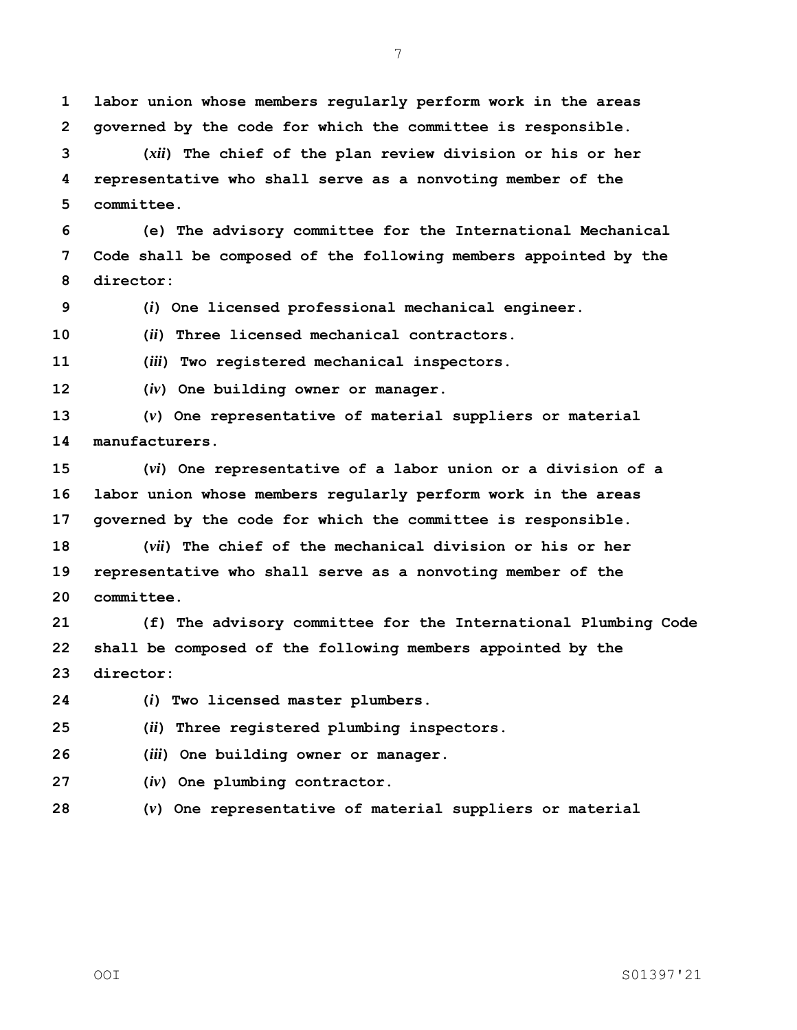**labor union whose members regularly perform work in the areas governed by the code for which the committee is responsible.**

 **(***xii***) The chief of the plan review division or his or her representative who shall serve as a nonvoting member of the committee.**

 **(e) The advisory committee for the International Mechanical Code shall be composed of the following members appointed by the director:**

**(***i***) One licensed professional mechanical engineer.**

**(***ii***) Three licensed mechanical contractors.**

**(***iii***) Two registered mechanical inspectors.**

**(***iv***) One building owner or manager.**

 **(***v***) One representative of material suppliers or material manufacturers.**

 **(***vi***) One representative of a labor union or a division of a labor union whose members regularly perform work in the areas governed by the code for which the committee is responsible.**

 **(***vii***) The chief of the mechanical division or his or her representative who shall serve as a nonvoting member of the committee.**

 **(f) The advisory committee for the International Plumbing Code shall be composed of the following members appointed by the director:**

**(***i***) Two licensed master plumbers.**

**(***ii***) Three registered plumbing inspectors.**

**(***iii***) One building owner or manager.**

**(***iv***) One plumbing contractor.**

**(***v***) One representative of material suppliers or material**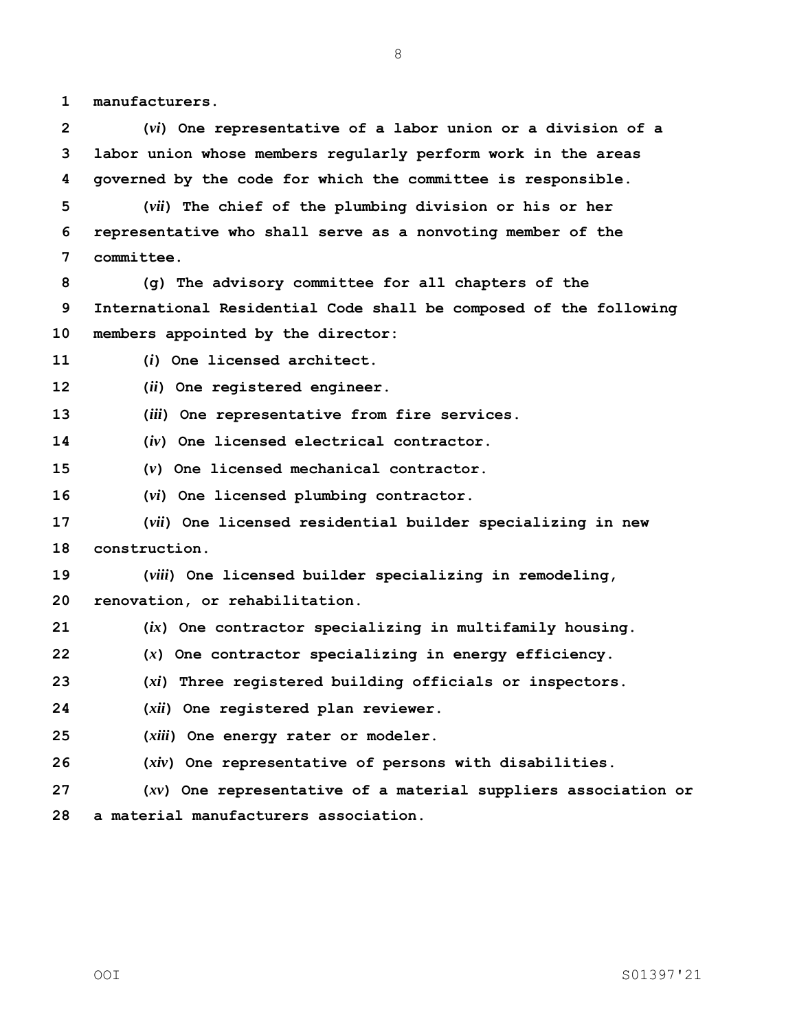**manufacturers.**

 **(***vi***) One representative of a labor union or a division of a labor union whose members regularly perform work in the areas governed by the code for which the committee is responsible.**

 **(***vii***) The chief of the plumbing division or his or her representative who shall serve as a nonvoting member of the committee.**

 **(g) The advisory committee for all chapters of the International Residential Code shall be composed of the following members appointed by the director:**

**(***i***) One licensed architect.**

**(***ii***) One registered engineer.**

**(***iii***) One representative from fire services.**

**(***iv***) One licensed electrical contractor.**

**(***v***) One licensed mechanical contractor.**

**(***vi***) One licensed plumbing contractor.**

 **(***vii***) One licensed residential builder specializing in new construction.**

**(***viii***) One licensed builder specializing in remodeling,** 

**renovation, or rehabilitation.**

**(***ix***) One contractor specializing in multifamily housing.**

**(***x***) One contractor specializing in energy efficiency.**

**(***xi***) Three registered building officials or inspectors.**

- **(***xii***) One registered plan reviewer.**
- **(***xiii***) One energy rater or modeler.**

**(***xiv***) One representative of persons with disabilities.**

 **(***xv***) One representative of a material suppliers association or a material manufacturers association.**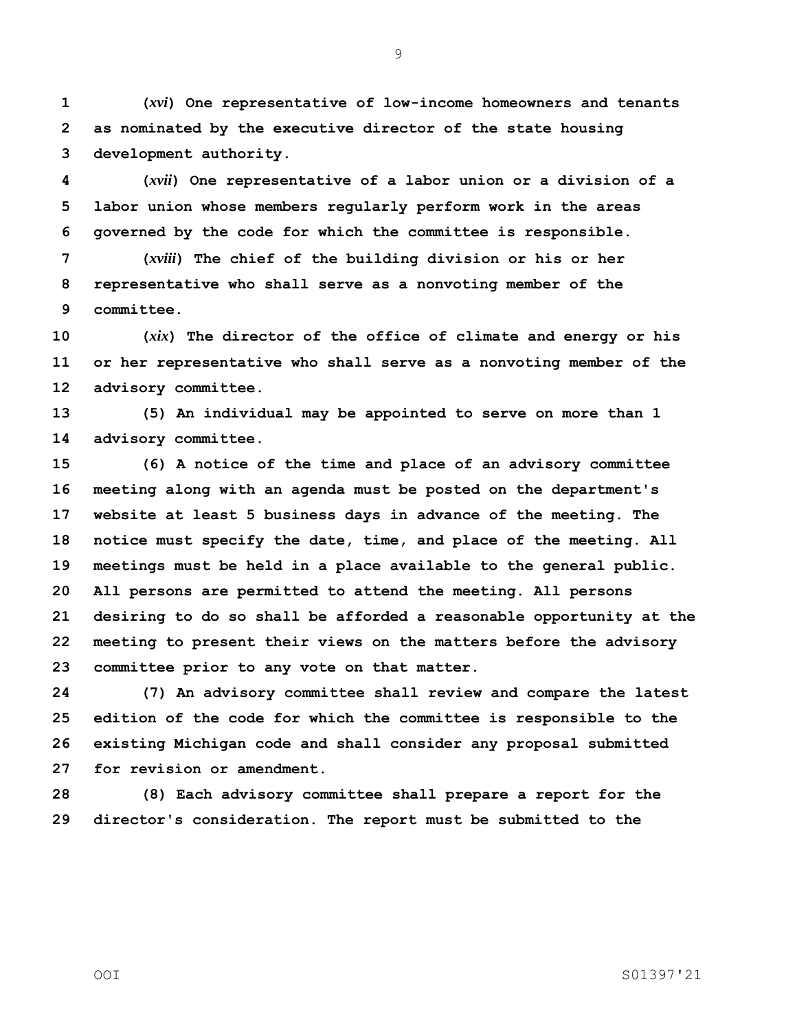**(***xvi***) One representative of low-income homeowners and tenants as nominated by the executive director of the state housing development authority.**

 **(***xvii***) One representative of a labor union or a division of a labor union whose members regularly perform work in the areas governed by the code for which the committee is responsible.**

 **(***xviii***) The chief of the building division or his or her representative who shall serve as a nonvoting member of the committee.**

 **(***xix***) The director of the office of climate and energy or his or her representative who shall serve as a nonvoting member of the advisory committee.**

 **(5) An individual may be appointed to serve on more than 1 advisory committee.**

 **(6) A notice of the time and place of an advisory committee meeting along with an agenda must be posted on the department's website at least 5 business days in advance of the meeting. The notice must specify the date, time, and place of the meeting. All meetings must be held in a place available to the general public. All persons are permitted to attend the meeting. All persons desiring to do so shall be afforded a reasonable opportunity at the meeting to present their views on the matters before the advisory committee prior to any vote on that matter.**

 **(7) An advisory committee shall review and compare the latest edition of the code for which the committee is responsible to the existing Michigan code and shall consider any proposal submitted for revision or amendment.**

 **(8) Each advisory committee shall prepare a report for the director's consideration. The report must be submitted to the**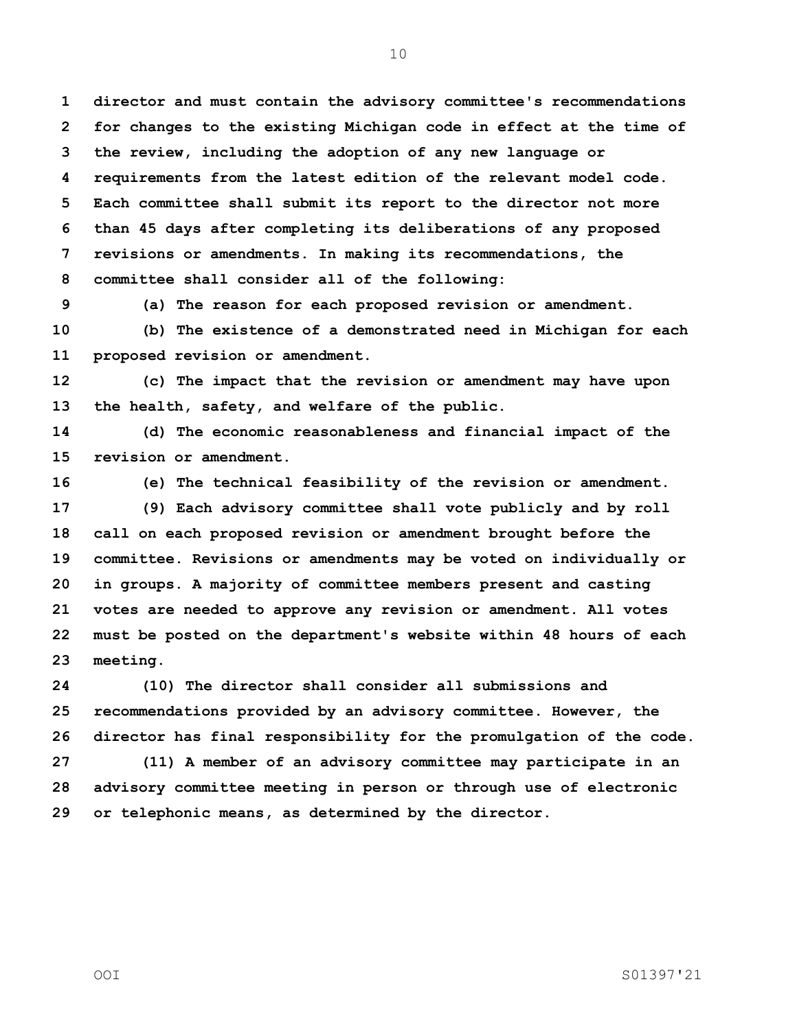**director and must contain the advisory committee's recommendations for changes to the existing Michigan code in effect at the time of the review, including the adoption of any new language or requirements from the latest edition of the relevant model code. Each committee shall submit its report to the director not more than 45 days after completing its deliberations of any proposed revisions or amendments. In making its recommendations, the committee shall consider all of the following:**

**(a) The reason for each proposed revision or amendment.**

 **(b) The existence of a demonstrated need in Michigan for each proposed revision or amendment.**

 **(c) The impact that the revision or amendment may have upon the health, safety, and welfare of the public.**

 **(d) The economic reasonableness and financial impact of the revision or amendment.**

 **(e) The technical feasibility of the revision or amendment. (9) Each advisory committee shall vote publicly and by roll call on each proposed revision or amendment brought before the committee. Revisions or amendments may be voted on individually or in groups. A majority of committee members present and casting votes are needed to approve any revision or amendment. All votes must be posted on the department's website within 48 hours of each meeting.**

 **(10) The director shall consider all submissions and recommendations provided by an advisory committee. However, the director has final responsibility for the promulgation of the code. (11) A member of an advisory committee may participate in an advisory committee meeting in person or through use of electronic or telephonic means, as determined by the director.**

OOI S01397'21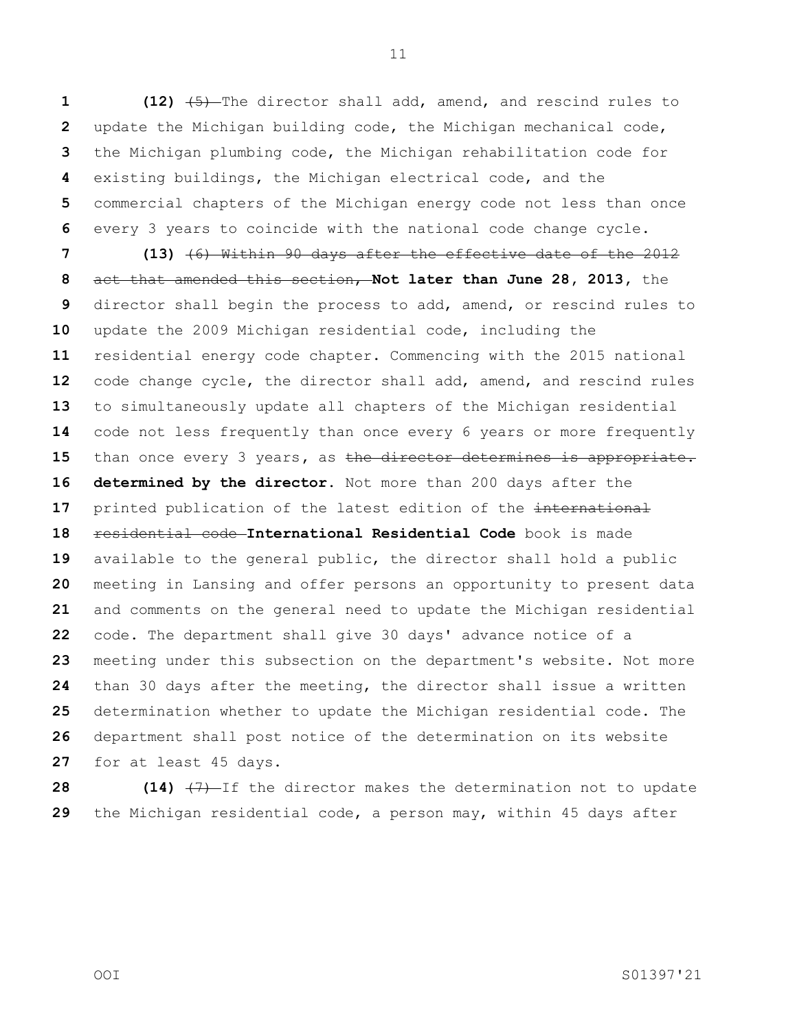**(12)** (5) The director shall add, amend, and rescind rules to update the Michigan building code, the Michigan mechanical code, the Michigan plumbing code, the Michigan rehabilitation code for existing buildings, the Michigan electrical code, and the commercial chapters of the Michigan energy code not less than once every 3 years to coincide with the national code change cycle.

 **(13)** (6) Within 90 days after the effective date of the 2012 act that amended this section, **Not later than June 28, 2013,** the director shall begin the process to add, amend, or rescind rules to update the 2009 Michigan residential code, including the residential energy code chapter. Commencing with the 2015 national code change cycle, the director shall add, amend, and rescind rules to simultaneously update all chapters of the Michigan residential code not less frequently than once every 6 years or more frequently than once every 3 years**,** as the director determines is appropriate. **determined by the director.** Not more than 200 days after the 17 printed publication of the latest edition of the international residential code **International Residential Code** book is made available to the general public, the director shall hold a public meeting in Lansing and offer persons an opportunity to present data and comments on the general need to update the Michigan residential code. The department shall give 30 days' advance notice of a meeting under this subsection on the department's website. Not more than 30 days after the meeting, the director shall issue a written determination whether to update the Michigan residential code. The department shall post notice of the determination on its website for at least 45 days.

**28 (14)**  $\left(7\right)$ -If the director makes the determination not to update the Michigan residential code, a person may, within 45 days after

OOI S01397'21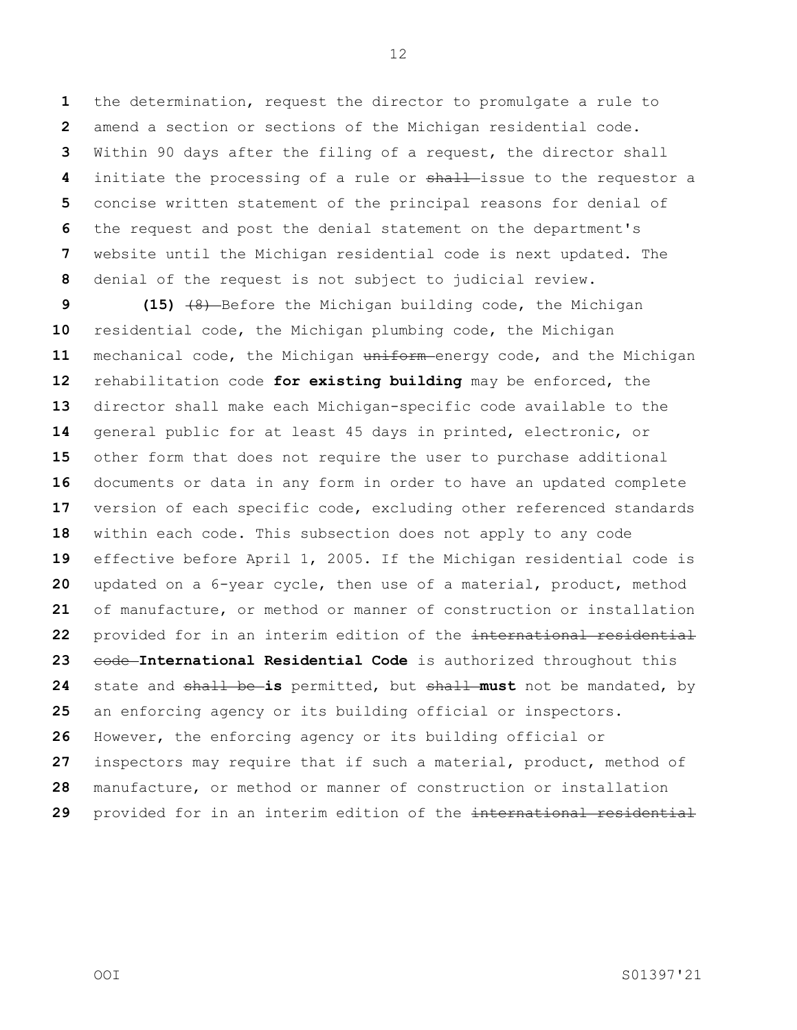the determination, request the director to promulgate a rule to amend a section or sections of the Michigan residential code. Within 90 days after the filing of a request, the director shall initiate the processing of a rule or shall-issue to the requestor a concise written statement of the principal reasons for denial of the request and post the denial statement on the department's website until the Michigan residential code is next updated. The denial of the request is not subject to judicial review.

 **(15)**  $\left(48\right)$ -Before the Michigan building code, the Michigan residential code, the Michigan plumbing code, the Michigan mechanical code, the Michigan uniform energy code, and the Michigan rehabilitation code **for existing building** may be enforced, the director shall make each Michigan-specific code available to the general public for at least 45 days in printed, electronic, or other form that does not require the user to purchase additional documents or data in any form in order to have an updated complete version of each specific code, excluding other referenced standards within each code. This subsection does not apply to any code effective before April 1, 2005. If the Michigan residential code is updated on a 6-year cycle, then use of a material, product, method of manufacture, or method or manner of construction or installation provided for in an interim edition of the international residential 23 code International Residential Code is authorized throughout this state and shall be **is** permitted, but shall **must** not be mandated, by an enforcing agency or its building official or inspectors. However, the enforcing agency or its building official or inspectors may require that if such a material, product, method of manufacture, or method or manner of construction or installation provided for in an interim edition of the international residential